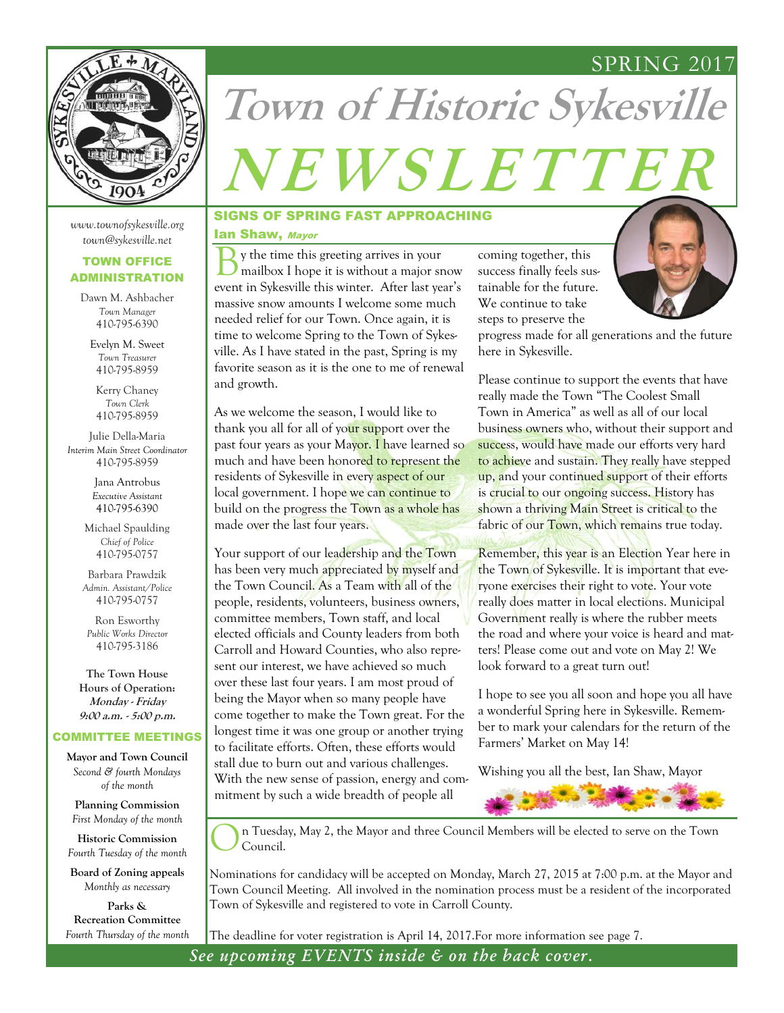### SPRING 2017



# **Town of Historic Sykesville <sup>N</sup> <sup>E</sup> <sup>W</sup> <sup>S</sup> <sup>L</sup> <sup>E</sup> <sup>T</sup> <sup>T</sup> <sup>E</sup> <sup>R</sup>**

### *www.townofsykesville.org town@sykesville.net*

### TOWN OFFICE ADMINISTRATION

Dawn M. Ashbacher *Town Manager*  410-795-6390

Evelyn M. Sweet *Town Treasurer*  410-795-8959

Kerry Chaney *Town Clerk* 410-795-8959

Julie Della-Maria *Interim Main Street Coordinator* 410-795-8959

> Jana Antrobus *Executive Assistant*  410-795-6390

Michael Spaulding *Chief of Police* 410-795-0757

Barbara Prawdzik *Admin. Assistant/Police* 410-795-0757

Ron Esworthy *Public Works Director* 410-795-3186

**The Town House Hours of Operation: Monday - Friday 9:00 a.m. - 5:00 p.m.** 

### COMMITTEE MEETINGS

**Mayor and Town Council** *Second & fourth Mondays of the month*

**Planning Commission** *First Monday of the month*

**Historic Commission** *Fourth Tuesday of the month*

**Board of Zoning appeals** *Monthly as necessary*

**Parks & Recreation Committee** *Fourth Thursday of the month*

### SIGNS OF SPRING FAST APPROACHING

### Ian Shaw, Mayor

B y the time this greeting arrives in your mailbox I hope it is without a major snow event in Sykesville this winter. After last year's massive snow amounts I welcome some much needed relief for our Town. Once again, it is time to welcome Spring to the Town of Sykesville. As I have stated in the past, Spring is my favorite season as it is the one to me of renewal and growth.

As we welcome the season, I would like to thank you all for all of your support over the past four years as your Mayor. I have learned so much and have been honored to represent the residents of Sykesville in every aspect of our local government. I hope we can continue to build on the progress the Town as a whole has made over the last four years.

Your support of our leadership and the Town has been very much appreciated by myself and the Town Council. As a Team with all of the people, residents, volunteers, business owners, committee members, Town staff, and local elected officials and County leaders from both Carroll and Howard Counties, who also represent our interest, we have achieved so much over these last four years. I am most proud of being the Mayor when so many people have come together to make the Town great. For the longest time it was one group or another trying to facilitate efforts. Often, these efforts would stall due to burn out and various challenges. With the new sense of passion, energy and commitment by such a wide breadth of people all

coming together, this success finally feels sustainable for the future. We continue to take steps to preserve the



progress made for all generations and the future here in Sykesville.

Please continue to support the events that have really made the Town "The Coolest Small Town in America" as well as all of our local business owners who, without their support and success, would have made our efforts very hard to achieve and sustain. They really have stepped up, and your continued support of their efforts is crucial to our ongoing success. History has shown a thriving Main Street is critical to the fabric of our Town, which remains true today.

Remember, this year is an Election Year here in the Town of Sykesville. It is important that everyone exercises their right to vote. Your vote really does matter in local elections. Municipal Government really is where the rubber meets the road and where your voice is heard and matters! Please come out and vote on May 2! We look forward to a great turn out!

I hope to see you all soon and hope you all have a wonderful Spring here in Sykesville. Remember to mark your calendars for the return of the Farmers' Market on May 14!

Wishing you all the best, Ian Shaw, Mayor



n Tuesday, May 2, the Mayor and three Council Members will be elected to serve on the Town Council.

Nominations for candidacy will be accepted on Monday, March 27, 2015 at 7:00 p.m. at the Mayor and Town Council Meeting. All involved in the nomination process must be a resident of the incorporated Town of Sykesville and registered to vote in Carroll County.

The deadline for voter registration is April 14, 2017.For more information see page 7.

*See upcoming EVENTS inside & on the back cover.*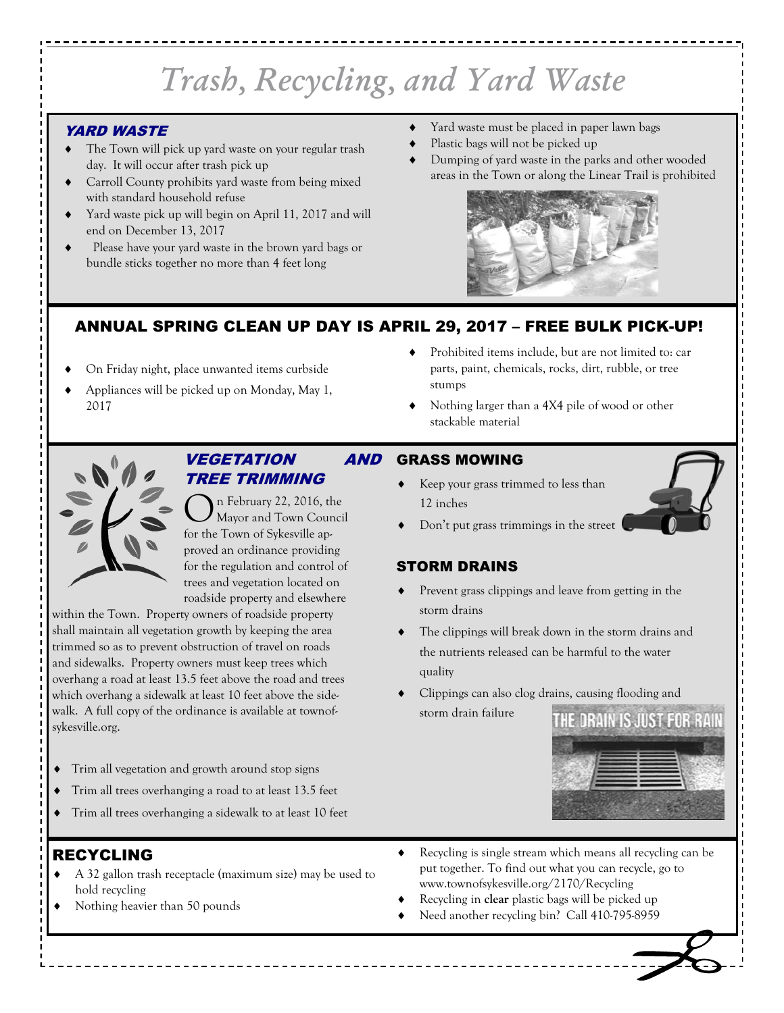## *Trash, Recycling, and Yard Waste*

### YARD WASTE

- The Town will pick up yard waste on your regular trash day. It will occur after trash pick up
- Carroll County prohibits yard waste from being mixed with standard household refuse
- Yard waste pick up will begin on April 11, 2017 and will end on December 13, 2017
- Please have your yard waste in the brown yard bags or bundle sticks together no more than 4 feet long
- Yard waste must be placed in paper lawn bags
- Plastic bags will not be picked up
- Dumping of yard waste in the parks and other wooded areas in the Town or along the Linear Trail is prohibited



### ANNUAL SPRING CLEAN UP DAY IS APRIL 29, 2017 – FREE BULK PICK-UP!

- On Friday night, place unwanted items curbside
- Appliances will be picked up on Monday, May 1, 2017
- Prohibited items include, but are not limited to: car parts, paint, chemicals, rocks, dirt, rubble, or tree stumps
- Nothing larger than a 4X4 pile of wood or other stackable material



### VEGETATION AND TREE TRIMMING

O n February 22, 2016, the Mayor and Town Council for the Town of Sykesville approved an ordinance providing for the regulation and control of trees and vegetation located on roadside property and elsewhere

within the Town. Property owners of roadside property shall maintain all vegetation growth by keeping the area trimmed so as to prevent obstruction of travel on roads and sidewalks. Property owners must keep trees which overhang a road at least 13.5 feet above the road and trees which overhang a sidewalk at least 10 feet above the sidewalk. A full copy of the ordinance is available at townofsykesville.org.

- Trim all vegetation and growth around stop signs
- Trim all trees overhanging a road to at least 13.5 feet
- Trim all trees overhanging a sidewalk to at least 10 feet

### RECYCLING

- A 32 gallon trash receptacle (maximum size) may be used to hold recycling
- Nothing heavier than 50 pounds
- GRASS MOWING
	- Keep your grass trimmed to less than 12 inches
	- Don't put grass trimmings in the street

### STORM DRAINS

- Prevent grass clippings and leave from getting in the storm drains
- The clippings will break down in the storm drains and the nutrients released can be harmful to the water quality
- Clippings can also clog drains, causing flooding and
- storm drain failure



- Recycling is single stream which means all recycling can be put together. To find out what you can recycle, go to www.townofsykesville.org/2170/Recycling
- Recycling in **clear** plastic bags will be picked up
- Need another recycling bin? Call 410-795-8959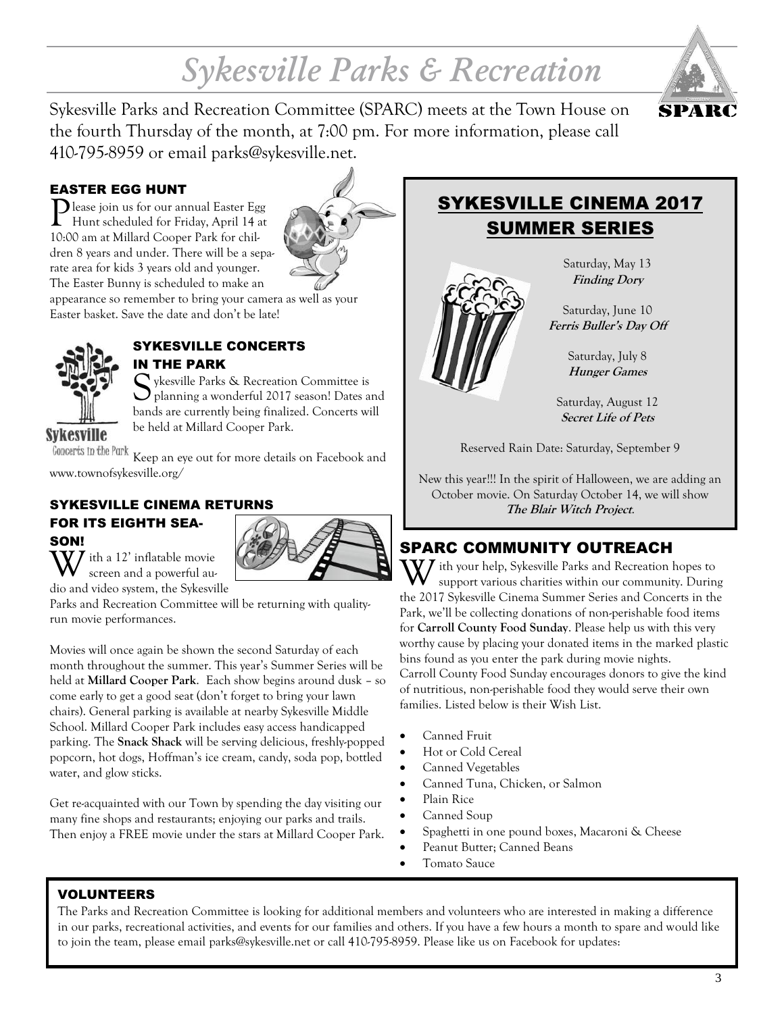## *Sykesville Parks & Recreation*



Sykesville Parks and Recreation Committee (SPARC) meets at the Town House on the fourth Thursday of the month, at 7:00 pm. For more information, please call 410-795-8959 or email parks@sykesville.net.

### EASTER EGG HUNT

P lease join us for our annual Easter Egg Hunt scheduled for Friday, April 14 at 10:00 am at Millard Cooper Park for children 8 years and under. There will be a separate area for kids 3 years old and younger. The Easter Bunny is scheduled to make an



appearance so remember to bring your camera as well as your Easter basket. Save the date and don't be late!



### SYKESVILLE CONCERTS IN THE PARK

Sykesville Parks & Recreation Committee is<br>planning a wonderful 2017 season! Dates and ykesville Parks & Recreation Committee is bands are currently being finalized. Concerts will be held at Millard Cooper Park.

**Sykesville** 

Concerts in the Park Keep an eye out for more details on Facebook and www.townofsykesville.org/

### SYKESVILLE CINEMA RETURNS

### FOR ITS EIGHTH SEA-SON!



 $\overline{Z}$  ith a 12' inflatable movie screen and a powerful audio and video system, the Sykesville

Parks and Recreation Committee will be returning with qualityrun movie performances.

Movies will once again be shown the second Saturday of each month throughout the summer. This year's Summer Series will be held at **Millard Cooper Park**. Each show begins around dusk – so come early to get a good seat (don't forget to bring your lawn chairs). General parking is available at nearby Sykesville Middle School. Millard Cooper Park includes easy access handicapped parking. The **Snack Shack** will be serving delicious, freshly-popped popcorn, hot dogs, Hoffman's ice cream, candy, soda pop, bottled water, and glow sticks.

Get re-acquainted with our Town by spending the day visiting our many fine shops and restaurants; enjoying our parks and trails. Then enjoy a FREE movie under the stars at Millard Cooper Park.

### SYKESVILLE CINEMA 2017 SUMMER SERIES



Saturday, May 13 **Finding Dory**

Saturday, June 10 **Ferris Buller's Day Off**

> Saturday, July 8 **Hunger Games**

Saturday, August 12 **Secret Life of Pets** 

Reserved Rain Date: Saturday, September 9

New this year!!! In the spirit of Halloween, we are adding an October movie. On Saturday October 14, we will show **The Blair Witch Project**.

### SPARC COMMUNITY OUTREACH

With your help, Sykesville Parks and Recreation hopes to support various charities within our community. During the 2017 Sykesville Cinema Summer Series and Concerts in the Park, we'll be collecting donations of non-perishable food items for **Carroll County Food Sunday**. Please help us with this very worthy cause by placing your donated items in the marked plastic bins found as you enter the park during movie nights. Carroll County Food Sunday encourages donors to give the kind of nutritious, non-perishable food they would serve their own families. Listed below is their Wish List.

- Canned Fruit
- Hot or Cold Cereal
- Canned Vegetables
- Canned Tuna, Chicken, or Salmon
- Plain Rice
	- Canned Soup
	- Spaghetti in one pound boxes, Macaroni & Cheese
- Peanut Butter; Canned Beans
- Tomato Sauce

### VOLUNTEERS

The Parks and Recreation Committee is looking for additional members and volunteers who are interested in making a difference in our parks, recreational activities, and events for our families and others. If you have a few hours a month to spare and would like to join the team, please email parks@sykesville.net or call 410-795-8959. Please like us on Facebook for updates: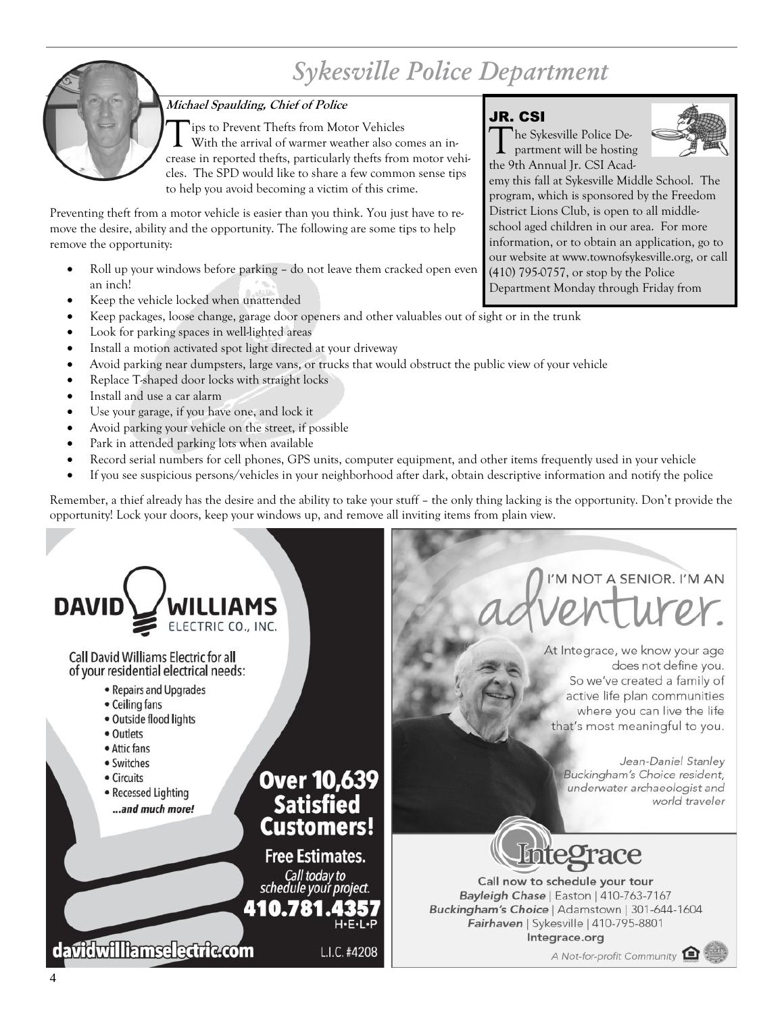## *Sykesville Police Department*



### **Michael Spaulding, Chief of Police**

Tips to Prevent Thefts from Motor Vehicles<br>With the arrival of warmer weather also comes an increase in reported thefts, particularly thefts from motor vehiips to Prevent Thefts from Motor Vehicles With the arrival of warmer weather also comes an incles. The SPD would like to share a few common sense tips to help you avoid becoming a victim of this crime.

Preventing theft from a motor vehicle is easier than you think. You just have to remove the desire, ability and the opportunity. The following are some tips to help remove the opportunity:

- Roll up your windows before parking do not leave them cracked open even an inch!
- Keep the vehicle locked when unattended
- Keep packages, loose change, garage door openers and other valuables out of sight or in the trunk
- Look for parking spaces in well-lighted areas
- Install a motion activated spot light directed at your driveway
- Avoid parking near dumpsters, large vans, or trucks that would obstruct the public view of your vehicle
- Replace T-shaped door locks with straight locks
- Install and use a car alarm
- Use your garage, if you have one, and lock it
- Avoid parking your vehicle on the street, if possible
- Park in attended parking lots when available
- Record serial numbers for cell phones, GPS units, computer equipment, and other items frequently used in your vehicle
- If you see suspicious persons/vehicles in your neighborhood after dark, obtain descriptive information and notify the police

Remember, a thief already has the desire and the ability to take your stuff – the only thing lacking is the opportunity. Don't provide the opportunity! Lock your doors, keep your windows up, and remove all inviting items from plain view.



### JR. CSI

T he Sykesville Police Department will be hosting the 9th Annual Jr. CSI Academy this fall at Sykesville Middle School. The

program, which is sponsored by the Freedom District Lions Club, is open to all middle-



school aged children in our area. For more information, or to obtain an application, go to our website at www.townofsykesville.org, or call (410) 795-0757, or stop by the Police Department Monday through Friday from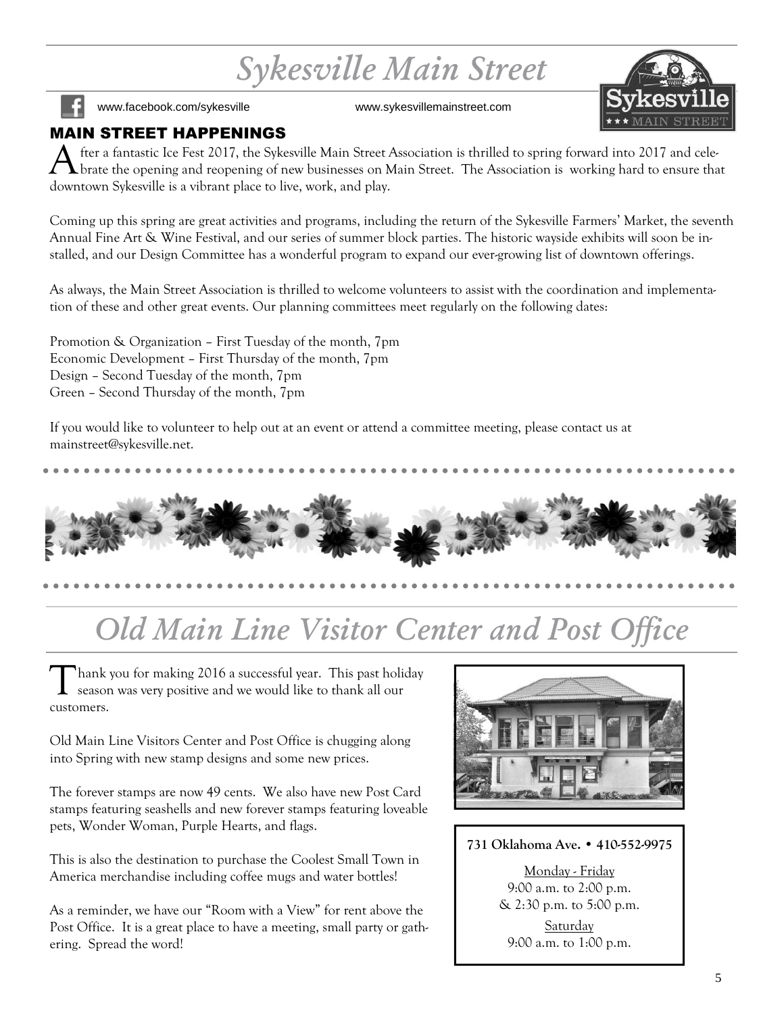## *Sykesville Main Street*



www.facebook.com/sykesville www.sykesvillemainstreet.com

### MAIN STREET HAPPENINGS

A fter a fantastic Ice Fest 2017, the Sykesville Main Street Association is thrilled to spring forward into 2017 and celebrate the opening and reopening of new businesses on Main Street. The Association is working hard to ensure that downtown Sykesville is a vibrant place to live, work, and play.

Coming up this spring are great activities and programs, including the return of the Sykesville Farmers' Market, the seventh Annual Fine Art & Wine Festival, and our series of summer block parties. The historic wayside exhibits will soon be installed, and our Design Committee has a wonderful program to expand our ever-growing list of downtown offerings.

As always, the Main Street Association is thrilled to welcome volunteers to assist with the coordination and implementation of these and other great events. Our planning committees meet regularly on the following dates:

Promotion & Organization – First Tuesday of the month, 7pm Economic Development – First Thursday of the month, 7pm Design – Second Tuesday of the month, 7pm Green – Second Thursday of the month, 7pm

If you would like to volunteer to help out at an event or attend a committee meeting, please contact us at mainstreet@sykesville.net.



## *Old Main Line Visitor Center and Post Office*

T hank you for making 2016 a successful year. This past holiday season was very positive and we would like to thank all our customers.

Old Main Line Visitors Center and Post Office is chugging along into Spring with new stamp designs and some new prices.

The forever stamps are now 49 cents. We also have new Post Card stamps featuring seashells and new forever stamps featuring loveable pets, Wonder Woman, Purple Hearts, and flags.

This is also the destination to purchase the Coolest Small Town in America merchandise including coffee mugs and water bottles!

As a reminder, we have our "Room with a View" for rent above the Post Office. It is a great place to have a meeting, small party or gathering. Spread the word!



### **731 Oklahoma Ave. • 410-552-9975**

Monday - Friday 9:00 a.m. to 2:00 p.m. & 2:30 p.m. to 5:00 p.m. Saturday 9:00 a.m. to 1:00 p.m.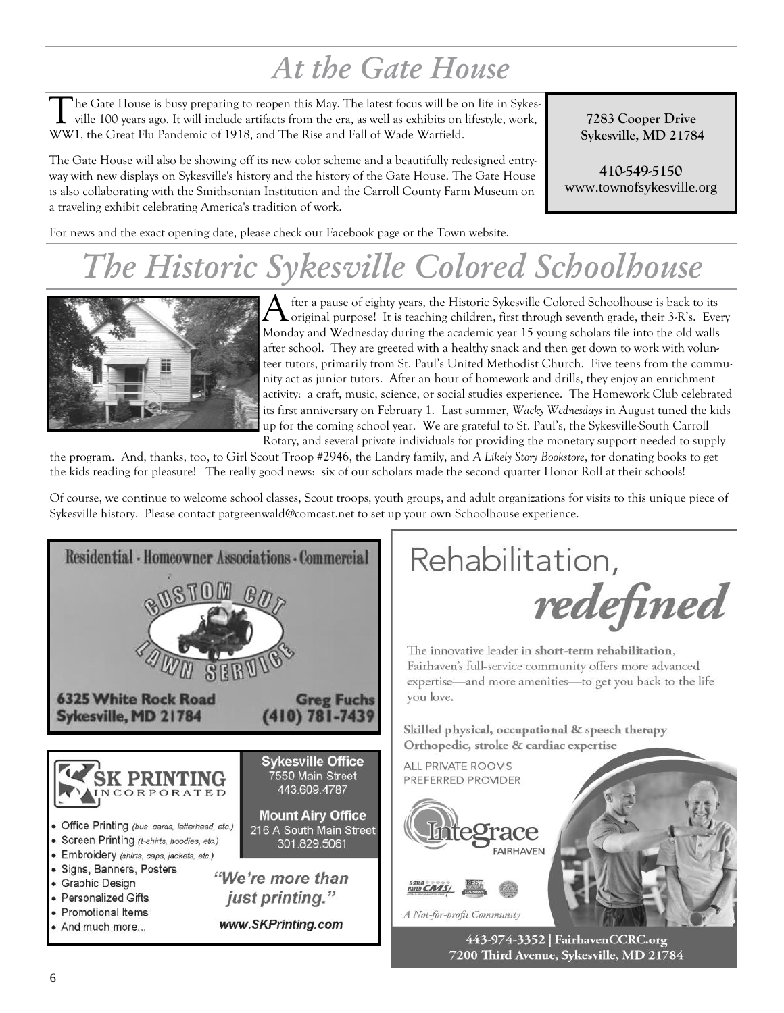## *At the Gate House*

T he Gate House is busy preparing to reopen this May. The latest focus will be on life in Sykesville 100 years ago. It will include artifacts from the era, as well as exhibits on lifestyle, work, WW1, the Great Flu Pandemic of 1918, and The Rise and Fall of Wade Warfield.

The Gate House will also be showing off its new color scheme and a beautifully redesigned entryway with new displays on Sykesville's history and the history of the Gate House. The Gate House is also collaborating with the Smithsonian Institution and the Carroll County Farm Museum on a traveling exhibit celebrating America's tradition of work.

**7283 Cooper Drive Sykesville, MD 21784**

**410-549-5150** www.townofsykesville.org

For news and the exact opening date, please check our Facebook page or the Town website.

## *The Historic Sykesville Colored Schoolhouse*



A fter a pause of eighty years, the Historic Sykesville Colored Schoolhouse is back to its original purpose! It is teaching children, first through seventh grade, their 3-R's. Even original purpose! It is teaching children, first through seventh grade, their 3-R's. Every Monday and Wednesday during the academic year 15 young scholars file into the old walls after school. They are greeted with a healthy snack and then get down to work with volunteer tutors, primarily from St. Paul's United Methodist Church. Five teens from the community act as junior tutors. After an hour of homework and drills, they enjoy an enrichment activity: a craft, music, science, or social studies experience. The Homework Club celebrated its first anniversary on February 1. Last summer, *Wacky Wednesdays* in August tuned the kids up for the coming school year. We are grateful to St. Paul's, the Sykesville-South Carroll Rotary, and several private individuals for providing the monetary support needed to supply

the program. And, thanks, too, to Girl Scout Troop #2946, the Landry family, and *A Likely Story Bookstore*, for donating books to get the kids reading for pleasure! The really good news: six of our scholars made the second quarter Honor Roll at their schools!

Of course, we continue to welcome school classes, Scout troops, youth groups, and adult organizations for visits to this unique piece of Sykesville history. Please contact patgreenwald@comcast.net to set up your own Schoolhouse experience.

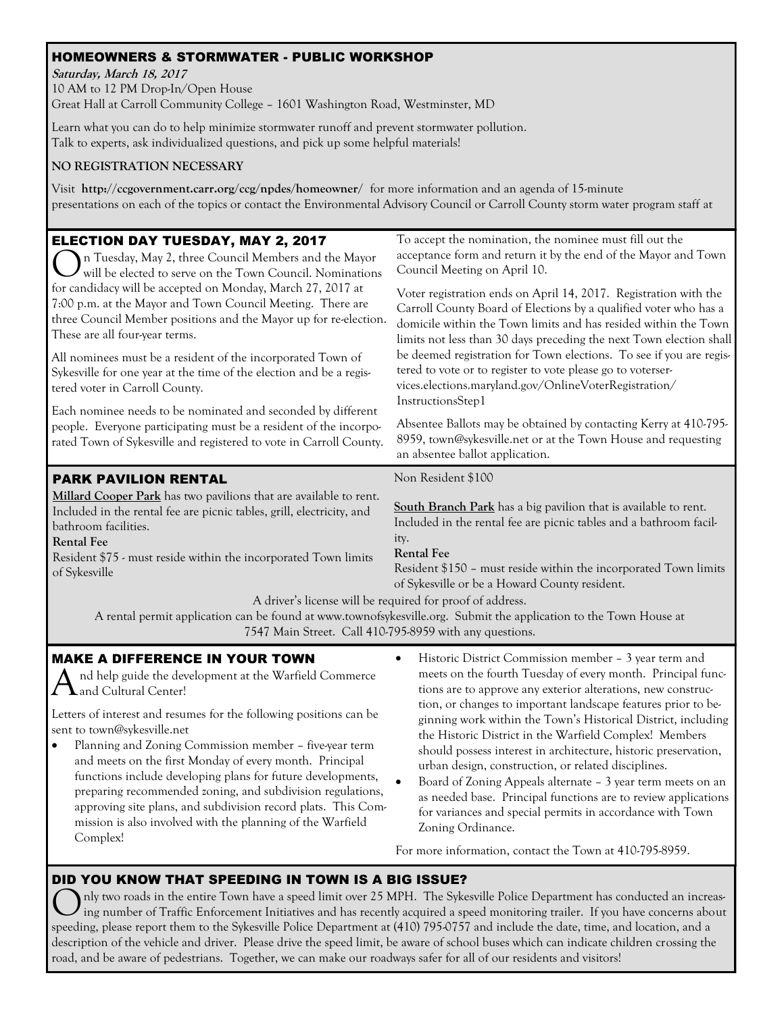### HOMEOWNERS & STORMWATER - PUBLIC WORKSHOP

**Saturday, March 18, 2017** 10 AM to 12 PM Drop-In/Open House Great Hall at Carroll Community College – 1601 Washington Road, Westminster, MD

Learn what you can do to help minimize stormwater runoff and prevent stormwater pollution. Talk to experts, ask individualized questions, and pick up some helpful materials!

### **NO REGISTRATION NECESSARY**

Visit **http://ccgovernment.carr.org/ccg/npdes/homeowner/** for more information and an agenda of 15-minute presentations on each of the topics or contact the Environmental Advisory Council or Carroll County storm water program staff at

| <b>ELECTION DAY TUESDAY, MAY 2, 2017</b><br>n Tuesday, May 2, three Council Members and the Mayor<br>will be elected to serve on the Town Council. Nominations<br>for candidacy will be accepted on Monday, March 27, 2017 at<br>7:00 p.m. at the Mayor and Town Council Meeting. There are<br>three Council Member positions and the Mayor up for re-election.<br>These are all four-year terms.<br>All nominees must be a resident of the incorporated Town of | To accept the nomination, the nominee must fill out the<br>acceptance form and return it by the end of the Mayor and Town<br>Council Meeting on April 10.                                                                                                                                                                                                                                                                                                                                          |
|------------------------------------------------------------------------------------------------------------------------------------------------------------------------------------------------------------------------------------------------------------------------------------------------------------------------------------------------------------------------------------------------------------------------------------------------------------------|----------------------------------------------------------------------------------------------------------------------------------------------------------------------------------------------------------------------------------------------------------------------------------------------------------------------------------------------------------------------------------------------------------------------------------------------------------------------------------------------------|
|                                                                                                                                                                                                                                                                                                                                                                                                                                                                  | Voter registration ends on April 14, 2017. Registration with the<br>Carroll County Board of Elections by a qualified voter who has a<br>domicile within the Town limits and has resided within the Town<br>limits not less than 30 days preceding the next Town election shall<br>be deemed registration for Town elections. To see if you are regis-<br>tered to vote or to register to vote please go to voterser-<br>vices.elections.maryland.gov/OnlineVoterRegistration/<br>InstructionsStep1 |
| Sykesville for one year at the time of the election and be a regis-<br>tered voter in Carroll County.                                                                                                                                                                                                                                                                                                                                                            |                                                                                                                                                                                                                                                                                                                                                                                                                                                                                                    |
| Each nominee needs to be nominated and seconded by different<br>people. Everyone participating must be a resident of the incorpo-<br>rated Town of Sykesville and registered to vote in Carroll County.                                                                                                                                                                                                                                                          | Absentee Ballots may be obtained by contacting Kerry at 410-795-<br>8959, town@sykesville.net or at the Town House and requesting<br>an absentee ballot application.                                                                                                                                                                                                                                                                                                                               |
| <b>PARK PAVILION RENTAL</b>                                                                                                                                                                                                                                                                                                                                                                                                                                      | Non Resident \$100                                                                                                                                                                                                                                                                                                                                                                                                                                                                                 |
| Millard Cooper Park has two pavilions that are available to rent.<br>Included in the rental fee are picnic tables, grill, electricity, and<br>bathroom facilities.<br><b>Rental Fee</b><br>Resident \$75 - must reside within the incorporated Town limits<br>of Sykesville                                                                                                                                                                                      | South Branch Park has a big pavilion that is available to rent.<br>Included in the rental fee are picnic tables and a bathroom facil-<br>ity.<br><b>Rental Fee</b><br>Resident \$150 - must reside within the incorporated Town limits<br>of Sykesville or be a Howard County resident.                                                                                                                                                                                                            |
| A driver's license will be required for proof of address.<br>A rental permit application can be found at www.townofsykesville.org. Submit the application to the Town House at<br>7547 Main Street. Call 410-795-8959 with any questions.                                                                                                                                                                                                                        |                                                                                                                                                                                                                                                                                                                                                                                                                                                                                                    |
| <b>MAKE A DIFFERENCE IN YOUR TOWN</b><br>$\bigwedge$ nd help guide the development at the Warfield Commerce<br>and Cultural Center!                                                                                                                                                                                                                                                                                                                              | Historic District Commission member - 3 year term and<br>meets on the fourth Tuesday of every month. Principal func-<br>tions are to approve any exterior alterations, new construc-                                                                                                                                                                                                                                                                                                               |
| Letters of interest and resumes for the following positions can be<br>sent to town@sykesville.net<br>Planning and Zoning Commission member - five-year term<br>$\bullet$<br>and meets on the first Monday of every month. Principal<br>functions include developing plans for future developments,                                                                                                                                                               | tion, or changes to important landscape features prior to be-<br>ginning work within the Town's Historical District, including<br>the Historic District in the Warfield Complex! Members<br>should possess interest in architecture, historic preservation,<br>urban design, construction, or related disciplines.<br>Board of Zoning Appeals alternate - 3 year term meets on an                                                                                                                  |

as needed base. Principal functions are to review applications for variances and special permits in accordance with Town Zoning Ordinance.

For more information, contact the Town at 410-795-8959.

### DID YOU KNOW THAT SPEEDING IN TOWN IS A BIG ISSUE?

approving site plans, and subdivision record plats. This Commission is also involved with the planning of the Warfield

Complex!

nly two roads in the entire Town have a speed limit over 25 MPH. The Sykesville Police Department has conducted an increasing number of Traffic Enforcement Initiatives and has recently acquired a speed monitoring trailer. If you have concerns about speeding, please report them to the Sykesville Police Department at (410) 795-0757 and include the date, time, and location, and a description of the vehicle and driver. Please drive the speed limit, be aware of school buses which can indicate children crossing the road, and be aware of pedestrians. Together, we can make our roadways safer for all of our residents and visitors!